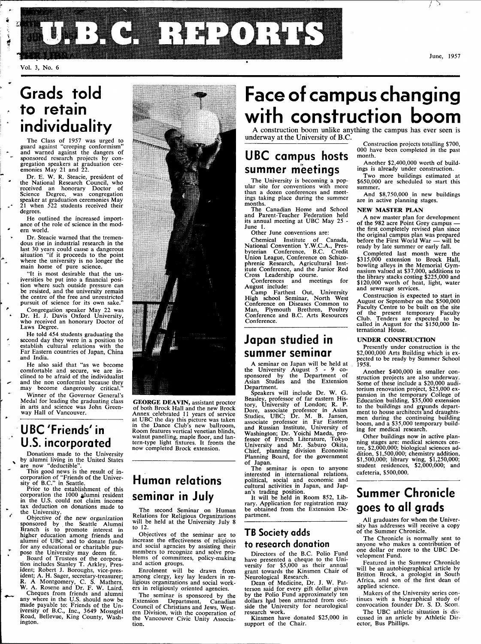

Vol. 3, No. 6

**i #r** 

### **Grads told to retain individuality**

The Class of 1957 was urged to guard against "creeping conformism" and warned against the dangers of sponsored research projects by congregation speakers at graduation cer-emonies May 21 and 22.

Dr. E. W. R. Steacie, president of the National Research Council, who received an honorary Doctor of Science Degree, was congregation speaker at graduation ceremonies May 21 when 522 students received their degrees.

He outlined the increased importance of the role of science in the modern world.

Dr. Steacie warned that the tremen-dous rise in industrial research in the last 30 years could cause a dangerous situation "if it proceeds to the point where the university is no longer the main home of pure science.

"It is most desirable that the un-iversities be put into a financial posi-tion where such outside pressure can be resisted, and the university remain the centre of the free and unrestricted pursuit of science for its own sake."

Congregation speaker May 22 was Dr. H. J. Davis Oxford University, who received an honorary Doctor of Laws Degree.

He told 454 students graduating the second day they were in a position to establish cultural relations with the Far Eastern countries of Japan, China and India.

He also said that "as we become comfortable and secure, we are in-clined to be afraid of the individualist and the non conformist because they may become dangerously critical."

Winner of the Governor General's Medal for leading the graduating class in arts and science was John Green-way Hall of Vancouver.

### **UBC'Friends'in U.S. incorporated**

Donations made to the University by alumni living in the United States are now "deductible".

This good news is the result of in-corporation of "Friends of the Univer-sity of B.C." in Seattle.

Prior to the establishment of this corporation the 1000 alumni resident in the U.S. could not claim income tax deduction on donations made to the University.

Objective of the new organization<br>sponsored by the Seattle Alumni<br>Branch is to promote interest in<br>higher education among friends and<br>alumni of UBC and to donate funds for any educational or charitable purpose the University may deem fit.

Board of Trustees of the corpora-tion includes Stanley T. Arkley, President; Robert J. Boroughs, vice-president; A. H. Sager, secretary-treasurer; R. A Montgomery, C. S. Mathers, W. A. Rosene and Dr. F. W. Laird.

Cheques from friends and alumni any where in the U.S. should now be made payable to: Friends of the Un-iversity of B.C., Inc., 3649 Mossgiel Road, Bellevue, King County, Washington.



**GEORGE DEAVIN,** assistant proctor of both Brock Hall and the new Brock Annex celebrated 11 years of service at UBC the day this picture was taken in the Dance Club's new ballroom, Room features vertical Venetian blinds, walnut panelling, maple floor, and lan-tern-type light fixtures. It fronts the now completed Brock extension.

### **Human relations seminar in July**

The second Seminar on Human Relations for Religious Organizations will be held at the University July 8 to 12.

Objectives of the seminar are to increase the effectiveness of religious and social agencies by assisting their members to recognize and solve problems of committees, policy-making and action groups.

Enrolment will be drawn from among clergy, key lay leaders in re-ligious organizations and social workers in religiously oriented agencies.

The seminar is sponsored by the<br>xtension Department, Canadian Extension Department, Canadian Council of Christians and Jews, Western Division, with the cooperation of the Vancouver Civic Unity Association.

## **Face of campus changing with construction boom**

A construction boom unlike anything the campus has ever seen is underway at the University of B.C.

### **UBC campus hosts summer meetings**

The University is becoming a popular site for conventions with more than a dozen conferences and meetings taking place during the summer months.

The Canadian Home and School and Parent-Teacher Federation held its annual meeting at UBC May 25 - June 1.

Other June conventions are:

Chemical Institute of Canada, National Convention Y.W.C.A., Pres-byterian Conference, B.C. Credit Union League, Conference on Schizophrenic Research, Agricultural Inst-itute Conference, and the Junior Red Cross Leadership course.

Conferences and meetings for<br>August include:<br>Camp Farthest Out, University<br>High school Seminar, North West<br>Conference on Diseases Common to<br>Man, Plymouth Brethren, Poultry<br>Conference and B.C. Arts Resources<br>Conference.

### **Japan studied in summer seminar**

A seminar on Japan will be held at the University August 5 - 9 co-sponsored by the Department of Asian Studies and the Extension Department.

Speakers will include Dr. W. G. Beasley, professor of far eastern His-tory, University of London; R. P. Dore, associate professor in Asian Studies, UBC; Dr. M. B. Jansen, associate professor in Far Eastern and Russian Institute, University of Washington; Dr. Yoichi Maeda, pro-<br>fessor of French Literature, Tokyo<br>University and Mr. Saburo Okita,<br>Chief, planning division Economic<br>Planning Board, for the government of Japan.

The seminar is open to anyone interested in international relations, political, social and economic and cultural activities in Japan, and Japan's trading position.

It will be held in Room 852, Library. Application for registration may be obtained from the Extension Department.

### **TB Society adds to research donation**

Directors of the B.C. Polio Fund have presented a cheque to the Uni-versity for \$5,000 as their annual grant towards the Kinsmen Chair of Neurological Research.

Dean of Medicine, Dr. J. W. Pat-terson said for every gift dollar given by the Polio Fund approximately ten dollars had been attracted from out-<br>side the University for neurological<br>research work.

Kinsmen have donated \$25,000 in support of the Chair.

Construction projects totalling \$700, 000 have been completed in the past

month. Another \$2,400,000 worth of buildings is already under construction.

Two more buildings estimated at \$650,000 are scheduled to start this summer.

And \$8,750,000 in new buildings are in active planning stages.

#### **NEW MASTER PLAN**

A new master plan for development of the 982 acre Point Grey campus the first completely revised plan since the original campus plan was prepared before the First World War — will be ready by late summer or early fall.

Completed last month were the \$315,000 extension to Brock Hall, bowling alleys in the Memorial Gym-nasium valued at \$37,000, additions to the library stacks costing \$225,000 and \$120,000 worth of heat, light, water and sewerage services.

Construction is expected to start in August or September on the \$500,000 Faculty Centre to be built on the site of the present temporary Faculty Club. Tenders are expected to be called in August for the \$150,000 International House.

#### **UNDER CONSTRUCTION**

Presently under construction is the \$2,000,000 Arts Building which is expected to be ready by Summer School 1958.

Another \$400,000 in smaller construction projects are also underway. Some of these include a \$20,000 audi-torium renovation project, \$25,000 expansion in the temporary College of Education building, \$35,000 extension<br>to the buildings and grounds depart-<br>ment to house architects and draughtsmen during the continuing building boom, and a \$35,000 temporary building for medical research.

Other buildings now in active planning stages are: medical sciences centre, \$2,000,000; biological sciences addition, \$1,500,000; chemistry addition, \$1,500,000; library wing, \$1,250,000; student residences, \$2,000,000; and cafeteria, \$500,000.

### **Summer Chronicle goes to all grads**

All graduates for whom the University has addresses will receive a copy of the Summer Chronicle.

The Chronicle is normally sent to anyone who makes a contribution of one dollar or more to the UBC Development Fund.

Featured in the Summer Chronicle will be an autobiographical article by Britton Brock, a geologist in South Africa, and son of the first dean of applied science.

Makers of the University series continues with a biographical study of convocation founder Dr. S. D. Scott.

The UBC athletic situation is discussed in an article by Athletic Director, Bus Phillips.

June, 1957

**T^~**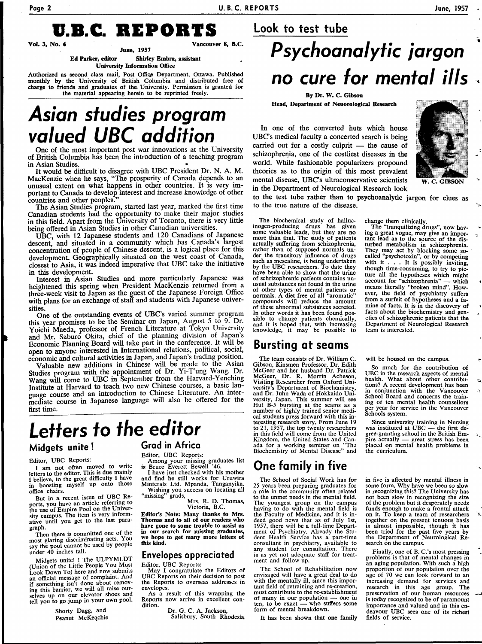### **U.B.C. REPORTS Look to test tube**

**Vancouver 8, B.C.** 

**June, 1957 Ed Parker, editor** Shirley Embra, assistant **University Information** Office

Authorized as second class mail, Post Office Department, Ottawa. Published monthly by the University of British Columbia and distributed free of charge to friends and graduates of the- University. Permission is granted for the material appearing herein to be reprinted freely.

## **Asian studies program valued UBC addition**

One of the most important post war innovations at the University of British Columbia has been the introduction of a teaching program<br>in Asian Studies. in Asian Studies. •

It would be difficult to disagree with UBC President Dr. N. A. M. MacKenzie when he says, "The prosperity of Canada depends to an unusual extent on what happens in other countries. It is very important to Canada to develop interest and increase knowledge of other countries and other peoples.

The Asian Studies program, started last year, marked the first time Canadian students had the opportunity to make their major studies in this field. Apart from the University of Toronto, there is very little being offered in Asian Studies in other Canadian universities.

UBC, with 12 Japanese students and 120 Canadians of Japanese descent, and situated in a community which has Canada's largest concentration of people of Chinese descent, is a logical place for this development. Geographically situated on the west coast of Canada, closest to Asia, it was indeed imperative that UBC take the initiative in this development.

Interest in Asian Studies and more particularly Japanese was heightened this spring when President MacKenzie returned from a three-week visit to Japan as the guest of the Japanese Foreign Office with plans for an exchange of staff and students with Japanese universities.

One of the outstanding events of UBC's varied summer program this year promises to be the Seminar on Japan, August 5 to 9. Dr. Yoichi Maeda, professor of French Literature at Tokyo University and Mr. Saburo Okita, chief of the planning division of Japan's Economic Planning Board will take part in the conference. It will be open to anyone interested in International relations, political, social, economic and cultural activities in Japan, and Japan's trading position.

Valuable new additions in Chinese will be made to the Asian Studies program with the appointment of Dr. Yi-T'ung Wang. Dr. Wang will come to UBC in September from the Harvard-Yenching Institute at Harvard to teach two new Chinese courses, a basic language course and an introduction to Chinese Literature. An intermediate course in Japanese language will also be offered for the first time.

## **Letters to the editor**

### **Midgets unite!**

#### Editor, UBC Reports:

I am not often moved to write letters to the editor. This is due mainly I believe, to the great difficulty I have in boosting myself up onto those office chairs.

But in a recent issue of UBC Reports, you have an article referring to the use of Empire Pool on the University campus. The item is very informative until you get to the last paragraph.

Then there is committed one of the most glaring discriminating acts. You say the pool cannot be used by people under 40 inches tall.

Midgets unite! ! The ULPYMLDT (Union of the Little People You Must Look Down To) here and now submits an official message of complaint. And if something isn't done about removing this barrier, we will all raise our-selves up on our elevator shoes and tell you to go jump in your own pool.

> Shorty Dagg, and Peanut McKeachie

#### **Grad in Africa**

Editor, UBC Reports: Among your missing graduates list is Bruce Everett Bewell '46.

I have just checked with his mother and find he still works for Uruwira Minterals Ltd. Mpanda, Tanganyika.

Wishing you success on locating all "missing" grads, Mrs. R. D. Thomas,

Victoria, B.C. Editor's Note: Many thanks **to** Mrs. Thomas and to all of our readers who

have gone to some trouble to assist us in our search for missing graduates, we hope to get many more letters of this kind.

#### **Envelopes appreciated**  Editor, UBC Reports:

May I congratulate the Editors of UBC Reports on their decision to post the Reports to overseas addresses in envelopes. As a result of this wrapping the

Reports now arrive in excellent condition.

Dr. G. C. A. lackson, Salisbury, South Rhodesia.

## **Psychoanalytic jargon no cure for mental ills**

**By Dr. W. C. Gibson Head, Department of Neuorological Research** 

In one of the converted huts which house UBC's medical faculty a concerted search is being carried out for a costly culprit — the cause of schizophrenia, one of the costliest diseases in the world. While fashionable popularizers propound theories as to the origin of this most prevalent mental disease, UBC's ultraconservative scientists in the Department of Neurological Research look



**W. C. GIBSON** 

to the test tube rather than to psychoanalytic jargon for clues as to the true nature of the disease.

> change them clinically. The "tranquilizing drugs", now hav-

The biochemical study of halluc-inogen-producing drugs has given some valuable leads, but they are no more than that. The study of patients actually suffering from schizophrenia, rather than of supposed normals under the transitory influence of drugs such as mescaline, is being undertaken by the UBC researchers. To date they have been able to show that the urine of schrizophrenic patients contains unusual substances not found in the urine of other types of mental patients or normals. A diet free of all "aromatic" compounds will reduce the amount of these abnormal substances secreted. In other words it has been found possible to change patients chemically, and it is hoped that, with increasing knowledge, it may be possible to ing a great vogue, may give an important lead as to the source of the disturbed metabolism in schizophrenia. They may act by blocking some socalled "psychotoxin", or by competing with it . . . It is possibly inviting, though time-consuming, to try to picture all the hypotheses which might<br>account for "schizophrenia" — which account for "schizophrenia" means literally "broken mind". However, the field of psychiatry suffers from a surfeit of hypotheses and a famine of facts. It is in the discovery of facts about the biochemistry and genetics of schizophrenic patients that the Department of Neurological Research team is interested.

will be housed on the campus.

So much for the contribution of UBC in the research aspects of mental health. What about other contribu-tions? A recent development has been conjunction with the Vancouver School Board and concerns the train-ing of ten mental health counsellors per year for service in the Vancouver Schools system.

Since university training in Nursing was instituted at UBC — the first degree-granting school in the British Empire actually — great stress has been placed on mental health problems in the curriculum.

in five is affected by mental illness in some form. Why have we been so slow in recognizing this? The University has not been slow in recognizing the size of the problem but it desperately needs funds enough to make a frontal attack on it. To keep a team of researchers together on the present tenuous basis is almost impossible, though it has been tried for the past five years by the Department of Neurological Research on the campus.

Finally, one of B. C.'s most pressing problems is that of mental changes in an aging population. With such a high proportion of our population over the age of 70 we can look forward to an increasing demand for services and research in this age group. The preservation of our human resources is today recognized to be of paramount importance and valued and in this endeavour UBC sees one of its richest fields of service.

Kingdom, the United States and Can-ada for a working seminar on "The Biochemistry of Mental Disease" and

### **One family in five**

**Bursting at seams** 

The team consists of Dr. William C. Gibson, Kinsmen Professor, Dr. Edith McGeer and her husband Dr. Patrick McGeer, Dr. R. Motrin Acheson,

Visiting Researcher from Oxford Uni-versity's Department of Biochemistry, and Dr. Juhn Wada of Hokkaido Uni-

versity, lapan. This summer will see Hut B-5 bursting at the seams as a number of highly trained senior medical students press forward with this interesting research story. From lune 19 to 21, 1957, the top twenty researchers in this field will come from the United

The School of Social Work has for 25 years been preparing graduates for a role in the community often related to the unmet needs in the mental field. The youngest group on the campus having to do with the mental field is the Faculty of Medicine, and it is indeed good news that as of luly 1st, 1957, there will be a full-time Depart-ment of Psychiatry. Already the Stu-dent Health Service has a part-time consultant in psychiatry, available to any student for consultation. There is as yet not adequate staff for treatment and follow-up.

The School of Rehabilitation now envisaged will have a great deal to do with the mentally ill, since this important field of retraining and re-creation, must contribute to the re-establishment of many in our population — one in ten, to be exact — who suffers some form of mental breakdown.

It has been shown that one family

**Vol. 3, No.** *6*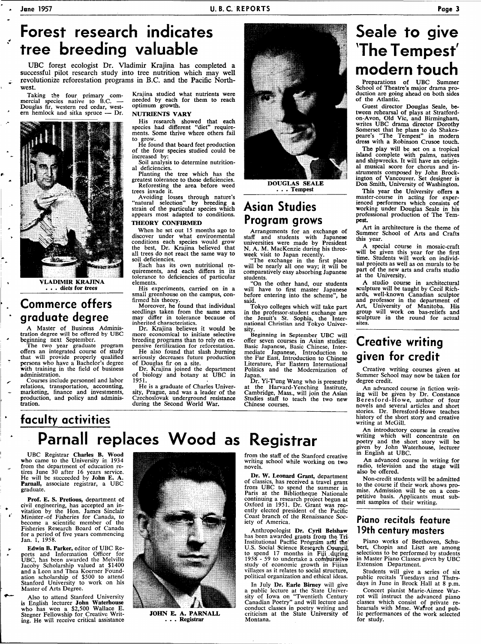UBC forest ecologist Dr. Vladimir Krajina has completed a successful pilot research study into tree nutrition which may well revolutionize reforestation programs in B.C. and the Pacific Northwest.

Taking the four primary com-mercial species native to B.C. — Douglas fir, western red cedar, west-ern hemlock and sitka spruce — Dr.



VLADIMIR KRAJINA . . . diets for trees

### **Commerce offers graduate degree**

A Master of Business Adminis-tration degree will be offered by UBC

beginning next September.<br>
The two year graduate program<br>
offers an integrated course of study<br>
that will provide properly qualified<br>
persons who have a Bachelor's degree with training in the field of business administration.

Courses include personnel and labor relations, transportation, accounting, marketing, finance and investments, production, and policy and adminis**t**ration.

Krajina studied what nutrients were needed by each for them to reach optimum growth.

#### NUTRIENTS VARY

His research showed that each species had different "diet" requirements. Some thrive where others fail to grow.

He found that board feet production of the four species studied could be increased by:

Soil analysis to determine nutritional deficiencies.

Planting the tree which has the greatest tolerance to those deficiencies. Reforesting the area before weed trees invade it.

Avoiding losses through nature's "natural selection" by breeding a strain of the particular species which appears most adapted to conditions. THEORY CONFIRMED

When he set out 15 months ago to discover under what environmental conditions each species would grow the best, Dr. Krajina believed that all trees do not react the same way to soil deficiencies.

Each has its own nutritional re-quirements, and each differs in its tolerance to deficiencies of particular elements.

His experiments, carried on in a small greenhouse on the campus, confirmed his theory.

Moreover, he found that individual seedlings taken from the same area may differ in tolerance because of inherited characteristics.

Dr. Krajina believes it would be more economical to initiate selective breeding programs than to rely on ex-pensive fertilization for reforestation.

He also found that slash .burning seriously decreases future production of Douglas fir on a site.

Dr. Krajina joined the department of biology and botany at UBC in 1951.

He is a graduate of Charles University, Prague, and was a leader of the Czechoslovak underground resistance during the Second World War.



DOUGLAS SEALE . . . Tempest

### **Asian Studies Program grows**

Arrangements for an exchange of staff and students with lapanese universities were made by President N. A. M. MacKenzie during his threeweek visit to Japan recently.

"The exchange in the first place will be nearly all one way; it will be comparatively easy absorbing Japanese students.

"On the other hand, our students will have to first master Japanese before entering into the scheme", he said.

Tokyo colleges which will take part in the professor-student exchange are the Jesuit's St. Sophia, the Inter-national Christian and Tokyo University.

Beginning in September UBC will offer seven courses in Asian studies: Basic Japanese, Basic Chinese, Intermediate Japanese, Introduction to the Far East, Introduction to Chinese Literature, Far Eastern International Politics and the Modernization of Japan.

Dr. Yi-T'ung Wang who is presently at the Harvard-Yenching Institute, Cambridge, Mass., will join the Asian Studies staff to teach the two new Chinese courses.

### **Seale to give The Tempest' modern touch**

Preparations of UBC Summer School of Theatre's major drama production are going ahead on both sides of the Atlantic.

Guest director Douglas Seale, between rehearsal of plays at Stratfordon-Avon, Old Vic, and Birmingham, writes UBC drama director Dorothy Somerset that he plans to do Shakespeare's "The Tempest" in modern dress with a Robinson Crusoe touch.

The play will be set on a tropical island complete with palms, natives and shipwrecks. It will have an original musical score for chorus and in-struments composed by John Brock-ington of Vancouver. Set designer is Don Smith, University of Washington.

This year the University offers a master-course in acting for exper-ienced performers which consists of working under Douglas Seale in his professional production of The Tempest

Art in architecture is the theme of Summer School of Arts and Crafts this year.

A special course in mosaic-craft will be given this year for the first time. Students will work on individual projects as well as on murals to be part of the new arts and crafts studio at the University.

A studio course in architectural sculpture will be taught by Cecil Rich-ards, well-known Canadian sculptor and professor in the department of Art, University of Manitoba. His group will work on bas-reliefs and sculpture in the round for actual sites.

### **Creative writing given for credit**

Creative writing courses given at Summer School may now be taken for degree credit.

An advanced course in fiction writing will be given by Dr. Constance Beresford-Howe , author of four novels and several articles and short stories. Dr. Beresford-Howe teaches history of the short story and creative writing at McGill.

An introductory course in creative writing which will concentrate on poetry and the short story will be given by John Waterhouse, lecturer in English at UBC.

An advanced course in writing for radio, television and the stage will also be offered.

Non-credit students will be admitted to the course if their work shows pro-mise. Admission will be on a com-petitive basis. Applicants must sub-mit samples of their writing.

#### **Piano recitals feature 19th century masters**

Piano works of Beethoven, Schubert, Chopin and Liszt are among selections to be performed by students in Master Piano Classes given by UBC Extension Department.

Students will give a series of six public recitals Tuesdays and Thursdays in June in Brock Hall at 8 p.m.

Concert pianist Marie-Aimee Warrot will instruct the advanced piano classes which consist of private re-hearsals with Mme. Wafrot and pub-lic performances of the work selected for study.

# **faculty activities**

**Parnall replaces Wood as Registrar** 

UBC Registrar Charles B. Wood who came to the University in 1934 from the department of education retires June 30 after 16 years service. He will be succeeded by **John E. A.**<br>**Parnall,** associate registrar, a UBC graduate.

Prof. E. S. Pretious, department of civil engineering, has accepted an in-vitation by the Hon. James Sinclair Minister .of Fisheries for Canada, to become a scientific member of the Fisheries Research Board of Canada for a period of five years commencing Jan. 1, 1958.

Edwin B. Parker, editor of UBC Reports and Information Officer for UBC, has been awarded the Melville Jacoby Scholarship valued at \$1400 and a Leon and Thea Koerner Foundation scholarship of \$500 to attend Stanford University to work on his Master of Arts Degree.

Also to attend Stanford University is English lecturer John Waterhouse who has won a \$2,500 Wallace E. Stegner Fellowship for Creative Writing. He will receive critical assistance



**JOHN** E. A. PARNALL **. . . Registrar** 

from the staff of the Stanford creative writing school while working on two novels.

Dr. W. Leonard Grant, department of classics, has received a travel grant from UBC to spend the summer in Paris at the Bibliotheque Nationale continuing a research project begun at Oxford in 1951. Dr. Grant was recently elected president of the Pacific Coast branch of the Renaissance Society of America.

Anthropologist Dr. Cyril Belshaw has been awarded grants from the Tri<br>Institutional Pacific Program and the<br>U.S. Social Science Research Council, to spend 17 months in Fiji during<br>1958 - 59 to undertake a comparative study of economic growth in Fijian villages as it relates to social structure, political organization and ethical ideas.

In July Dr. Earle Birney will give a public lecture at the State Univer-<br>sity of Iowa on "Twentieth Century<br>Canadian Poetry" and will lecture and<br>conduct classes in poetry writing and<br>criticism at the State University of Montana.